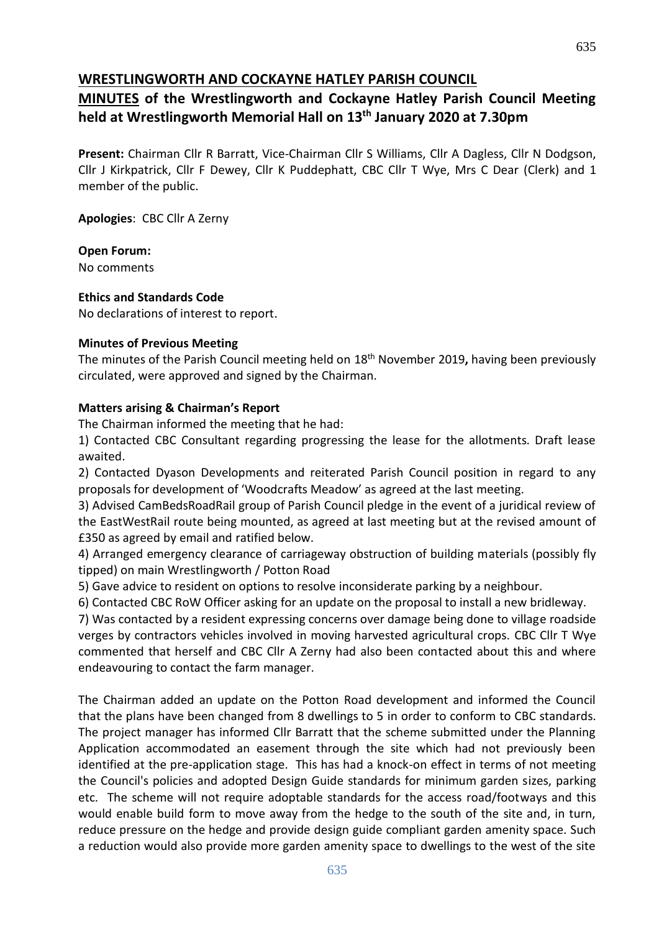## **WRESTLINGWORTH AND COCKAYNE HATLEY PARISH COUNCIL**

## **MINUTES of the Wrestlingworth and Cockayne Hatley Parish Council Meeting held at Wrestlingworth Memorial Hall on 13th January 2020 at 7.30pm**

**Present:** Chairman Cllr R Barratt, Vice-Chairman Cllr S Williams, Cllr A Dagless, Cllr N Dodgson, Cllr J Kirkpatrick, Cllr F Dewey, Cllr K Puddephatt, CBC Cllr T Wye, Mrs C Dear (Clerk) and 1 member of the public.

**Apologies**: CBC Cllr A Zerny

**Open Forum:** No comments

**Ethics and Standards Code**

No declarations of interest to report.

#### **Minutes of Previous Meeting**

The minutes of the Parish Council meeting held on 18th November 2019**,** having been previously circulated, were approved and signed by the Chairman.

#### **Matters arising & Chairman's Report**

The Chairman informed the meeting that he had:

1) Contacted CBC Consultant regarding progressing the lease for the allotments. Draft lease awaited.

2) Contacted Dyason Developments and reiterated Parish Council position in regard to any proposals for development of 'Woodcrafts Meadow' as agreed at the last meeting.

3) Advised CamBedsRoadRail group of Parish Council pledge in the event of a juridical review of the EastWestRail route being mounted, as agreed at last meeting but at the revised amount of £350 as agreed by email and ratified below.

4) Arranged emergency clearance of carriageway obstruction of building materials (possibly fly tipped) on main Wrestlingworth / Potton Road

5) Gave advice to resident on options to resolve inconsiderate parking by a neighbour.

6) Contacted CBC RoW Officer asking for an update on the proposal to install a new bridleway.

7) Was contacted by a resident expressing concerns over damage being done to village roadside verges by contractors vehicles involved in moving harvested agricultural crops. CBC Cllr T Wye commented that herself and CBC Cllr A Zerny had also been contacted about this and where endeavouring to contact the farm manager.

The Chairman added an update on the Potton Road development and informed the Council that the plans have been changed from 8 dwellings to 5 in order to conform to CBC standards. The project manager has informed Cllr Barratt that the scheme submitted under the Planning Application accommodated an easement through the site which had not previously been identified at the pre-application stage. This has had a knock-on effect in terms of not meeting the Council's policies and adopted Design Guide standards for minimum garden sizes, parking etc. The scheme will not require adoptable standards for the access road/footways and this would enable build form to move away from the hedge to the south of the site and, in turn, reduce pressure on the hedge and provide design guide compliant garden amenity space. Such a reduction would also provide more garden amenity space to dwellings to the west of the site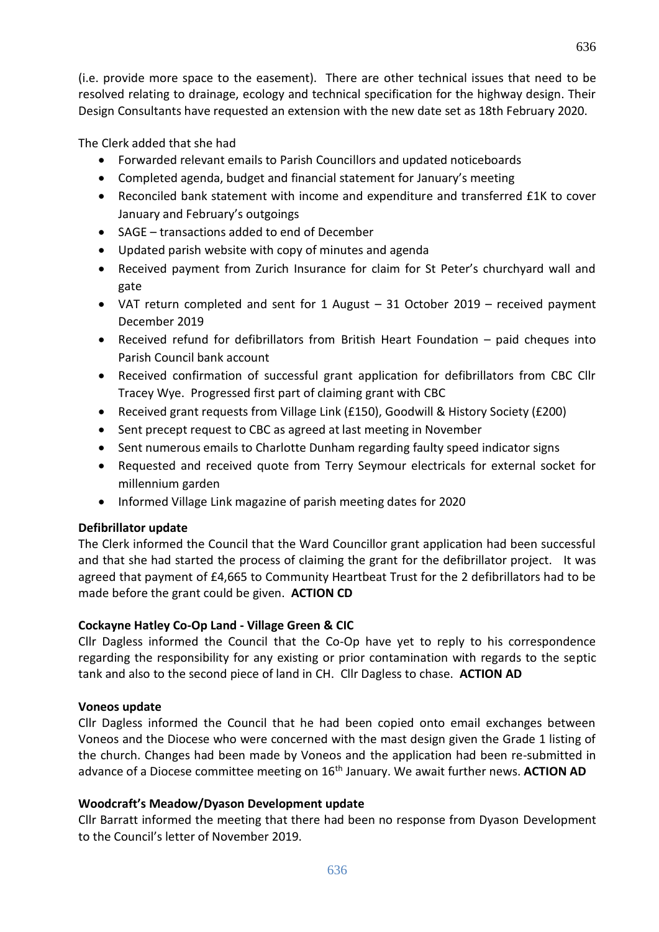(i.e. provide more space to the easement). There are other technical issues that need to be resolved relating to drainage, ecology and technical specification for the highway design. Their Design Consultants have requested an extension with the new date set as 18th February 2020.

The Clerk added that she had

- Forwarded relevant emails to Parish Councillors and updated noticeboards
- Completed agenda, budget and financial statement for January's meeting
- Reconciled bank statement with income and expenditure and transferred £1K to cover January and February's outgoings
- SAGE transactions added to end of December
- Updated parish website with copy of minutes and agenda
- Received payment from Zurich Insurance for claim for St Peter's churchyard wall and gate
- VAT return completed and sent for 1 August 31 October 2019 received payment December 2019
- Received refund for defibrillators from British Heart Foundation paid cheques into Parish Council bank account
- Received confirmation of successful grant application for defibrillators from CBC Cllr Tracey Wye. Progressed first part of claiming grant with CBC
- Received grant requests from Village Link (£150), Goodwill & History Society (£200)
- Sent precept request to CBC as agreed at last meeting in November
- Sent numerous emails to Charlotte Dunham regarding faulty speed indicator signs
- Requested and received quote from Terry Seymour electricals for external socket for millennium garden
- Informed Village Link magazine of parish meeting dates for 2020

## **Defibrillator update**

The Clerk informed the Council that the Ward Councillor grant application had been successful and that she had started the process of claiming the grant for the defibrillator project. It was agreed that payment of £4,665 to Community Heartbeat Trust for the 2 defibrillators had to be made before the grant could be given. **ACTION CD**

## **Cockayne Hatley Co-Op Land - Village Green & CIC**

Cllr Dagless informed the Council that the Co-Op have yet to reply to his correspondence regarding the responsibility for any existing or prior contamination with regards to the septic tank and also to the second piece of land in CH. Cllr Dagless to chase. **ACTION AD**

## **Voneos update**

Cllr Dagless informed the Council that he had been copied onto email exchanges between Voneos and the Diocese who were concerned with the mast design given the Grade 1 listing of the church. Changes had been made by Voneos and the application had been re-submitted in advance of a Diocese committee meeting on 16<sup>th</sup> January. We await further news. ACTION AD

## **Woodcraft's Meadow/Dyason Development update**

Cllr Barratt informed the meeting that there had been no response from Dyason Development to the Council's letter of November 2019.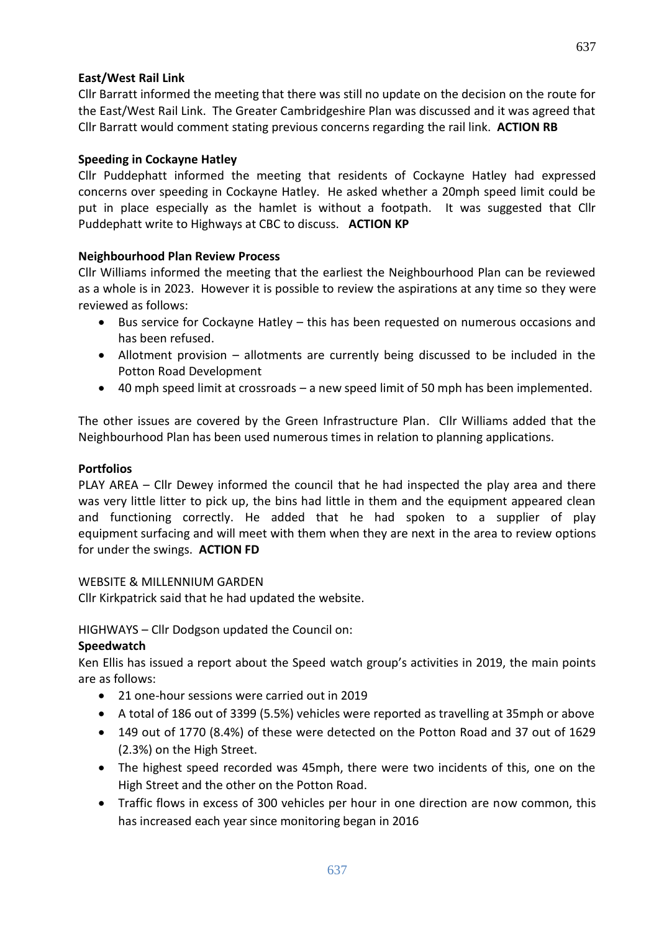#### **East/West Rail Link**

Cllr Barratt informed the meeting that there was still no update on the decision on the route for the East/West Rail Link. The Greater Cambridgeshire Plan was discussed and it was agreed that Cllr Barratt would comment stating previous concerns regarding the rail link. **ACTION RB**

#### **Speeding in Cockayne Hatley**

Cllr Puddephatt informed the meeting that residents of Cockayne Hatley had expressed concerns over speeding in Cockayne Hatley. He asked whether a 20mph speed limit could be put in place especially as the hamlet is without a footpath. It was suggested that Cllr Puddephatt write to Highways at CBC to discuss. **ACTION KP**

#### **Neighbourhood Plan Review Process**

Cllr Williams informed the meeting that the earliest the Neighbourhood Plan can be reviewed as a whole is in 2023. However it is possible to review the aspirations at any time so they were reviewed as follows:

- Bus service for Cockayne Hatley this has been requested on numerous occasions and has been refused.
- Allotment provision allotments are currently being discussed to be included in the Potton Road Development
- 40 mph speed limit at crossroads a new speed limit of 50 mph has been implemented.

The other issues are covered by the Green Infrastructure Plan. Cllr Williams added that the Neighbourhood Plan has been used numerous times in relation to planning applications.

#### **Portfolios**

PLAY AREA – Cllr Dewey informed the council that he had inspected the play area and there was very little litter to pick up, the bins had little in them and the equipment appeared clean and functioning correctly. He added that he had spoken to a supplier of play equipment surfacing and will meet with them when they are next in the area to review options for under the swings. **ACTION FD**

#### WEBSITE & MILLENNIUM GARDEN

Cllr Kirkpatrick said that he had updated the website.

HIGHWAYS – Cllr Dodgson updated the Council on:

#### **Speedwatch**

Ken Ellis has issued a report about the Speed watch group's activities in 2019, the main points are as follows:

- 21 one-hour sessions were carried out in 2019
- A total of 186 out of 3399 (5.5%) vehicles were reported as travelling at 35mph or above
- 149 out of 1770 (8.4%) of these were detected on the Potton Road and 37 out of 1629 (2.3%) on the High Street.
- The highest speed recorded was 45mph, there were two incidents of this, one on the High Street and the other on the Potton Road.
- Traffic flows in excess of 300 vehicles per hour in one direction are now common, this has increased each year since monitoring began in 2016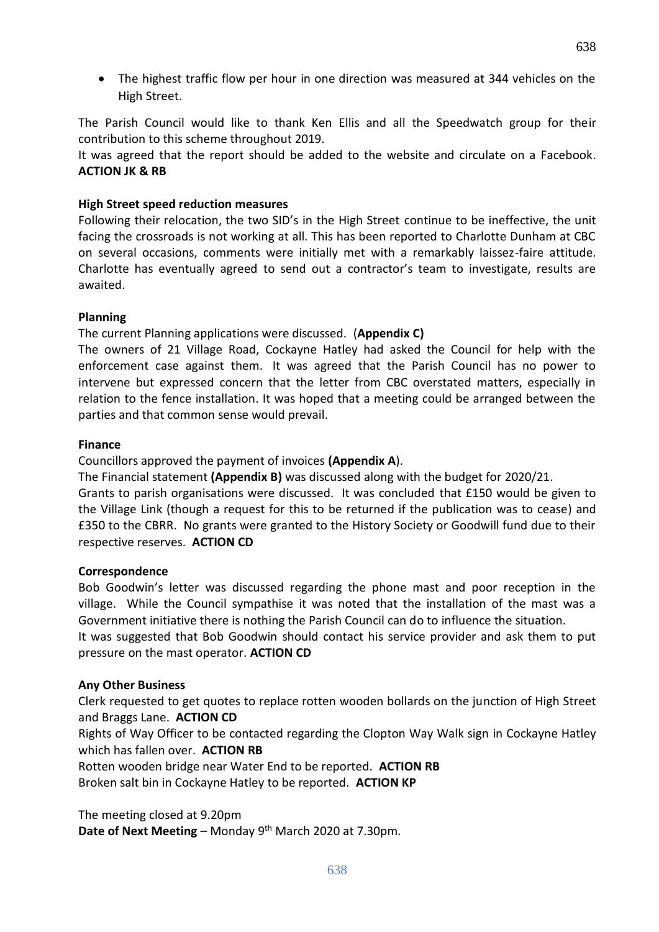The highest traffic flow per hour in one direction was measured at 344 vehicles on the High Street.

The Parish Council would like to thank Ken Ellis and all the Speedwatch group for their contribution to this scheme throughout 2019.

It was agreed that the report should be added to the website and circulate on a Facebook. **ACTION JK & RB**

#### **High Street speed reduction measures**

Following their relocation, the two SID's in the High Street continue to be ineffective, the unit facing the crossroads is not working at all. This has been reported to Charlotte Dunham at CBC on several occasions, comments were initially met with a remarkably laissez-faire attitude. Charlotte has eventually agreed to send out a contractor's team to investigate, results are awaited.

#### **Planning**

The current Planning applications were discussed. (**Appendix C)**

The owners of 21 Village Road, Cockayne Hatley had asked the Council for help with the enforcement case against them. It was agreed that the Parish Council has no power to intervene but expressed concern that the letter from CBC overstated matters, especially in relation to the fence installation. It was hoped that a meeting could be arranged between the parties and that common sense would prevail.

#### **Finance**

Councillors approved the payment of invoices **(Appendix A**).

The Financial statement **(Appendix B)** was discussed along with the budget for 2020/21.

Grants to parish organisations were discussed. It was concluded that £150 would be given to the Village Link (though a request for this to be returned if the publication was to cease) and £350 to the CBRR. No grants were granted to the History Society or Goodwill fund due to their respective reserves. **ACTION CD**

#### **Correspondence**

Bob Goodwin's letter was discussed regarding the phone mast and poor reception in the village. While the Council sympathise it was noted that the installation of the mast was a Government initiative there is nothing the Parish Council can do to influence the situation. It was suggested that Bob Goodwin should contact his service provider and ask them to put

pressure on the mast operator. **ACTION CD**

#### **Any Other Business**

Clerk requested to get quotes to replace rotten wooden bollards on the junction of High Street and Braggs Lane. **ACTION CD**

Rights of Way Officer to be contacted regarding the Clopton Way Walk sign in Cockayne Hatley which has fallen over. **ACTION RB**

Rotten wooden bridge near Water End to be reported. **ACTION RB** Broken salt bin in Cockayne Hatley to be reported. **ACTION KP**

The meeting closed at 9.20pm

Date of Next Meeting - Monday 9<sup>th</sup> March 2020 at 7.30pm.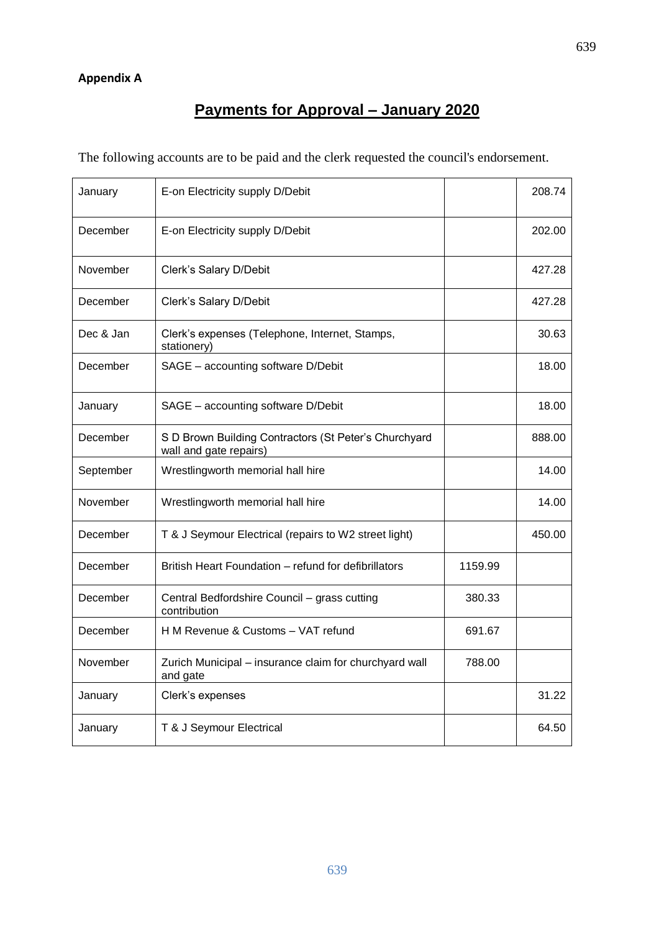### **Appendix A**

# **Payments for Approval – January 2020**

The following accounts are to be paid and the clerk requested the council's endorsement.

| January   | E-on Electricity supply D/Debit                                                 |         | 208.74 |
|-----------|---------------------------------------------------------------------------------|---------|--------|
| December  | E-on Electricity supply D/Debit                                                 |         | 202.00 |
| November  | Clerk's Salary D/Debit                                                          |         | 427.28 |
| December  | Clerk's Salary D/Debit                                                          |         | 427.28 |
| Dec & Jan | Clerk's expenses (Telephone, Internet, Stamps,<br>stationery)                   |         | 30.63  |
| December  | SAGE - accounting software D/Debit                                              |         | 18.00  |
| January   | SAGE - accounting software D/Debit                                              |         | 18.00  |
| December  | S D Brown Building Contractors (St Peter's Churchyard<br>wall and gate repairs) |         | 888.00 |
| September | Wrestlingworth memorial hall hire                                               |         | 14.00  |
| November  | Wrestlingworth memorial hall hire                                               |         | 14.00  |
| December  | T & J Seymour Electrical (repairs to W2 street light)                           |         | 450.00 |
| December  | British Heart Foundation – refund for defibrillators                            | 1159.99 |        |
| December  | Central Bedfordshire Council - grass cutting<br>contribution                    | 380.33  |        |
| December  | H M Revenue & Customs - VAT refund                                              | 691.67  |        |
| November  | Zurich Municipal - insurance claim for churchyard wall<br>and gate              | 788.00  |        |
| January   | Clerk's expenses                                                                |         | 31.22  |
| January   | T & J Seymour Electrical                                                        |         | 64.50  |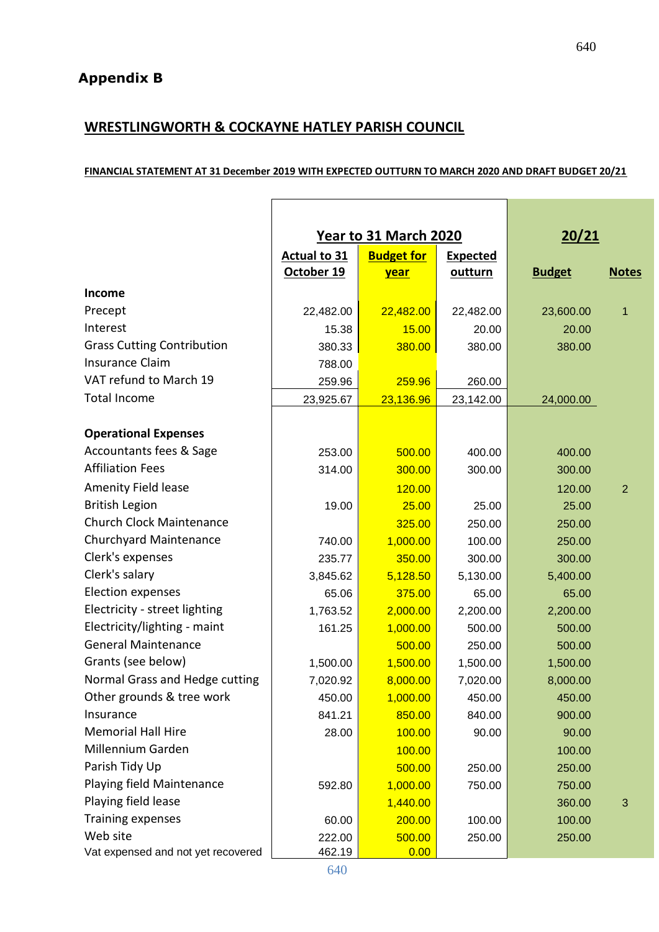## **WRESTLINGWORTH & COCKAYNE HATLEY PARISH COUNCIL**

#### **FINANCIAL STATEMENT AT 31 December 2019 WITH EXPECTED OUTTURN TO MARCH 2020 AND DRAFT BUDGET 20/21**

|                                    | Year to 31 March 2020                                       |             | 20/21     |               |                |
|------------------------------------|-------------------------------------------------------------|-------------|-----------|---------------|----------------|
|                                    | <b>Actual to 31</b><br><b>Budget for</b><br><b>Expected</b> |             |           |               |                |
|                                    | October 19                                                  | <u>year</u> | outturn   | <b>Budget</b> | <b>Notes</b>   |
| Income                             |                                                             |             |           |               |                |
| Precept                            | 22,482.00                                                   | 22,482.00   | 22,482.00 | 23,600.00     | 1              |
| Interest                           | 15.38                                                       | 15.00       | 20.00     | 20.00         |                |
| <b>Grass Cutting Contribution</b>  | 380.33                                                      | 380.00      | 380.00    | 380.00        |                |
| <b>Insurance Claim</b>             | 788.00                                                      |             |           |               |                |
| VAT refund to March 19             | 259.96                                                      | 259.96      | 260.00    |               |                |
| <b>Total Income</b>                | 23,925.67                                                   | 23,136.96   | 23,142.00 | 24,000.00     |                |
|                                    |                                                             |             |           |               |                |
| <b>Operational Expenses</b>        |                                                             |             |           |               |                |
| Accountants fees & Sage            | 253.00                                                      | 500.00      | 400.00    | 400.00        |                |
| <b>Affiliation Fees</b>            | 314.00                                                      | 300.00      | 300.00    | 300.00        |                |
| <b>Amenity Field lease</b>         |                                                             | 120.00      |           | 120.00        | $\overline{2}$ |
| <b>British Legion</b>              | 19.00                                                       | 25.00       | 25.00     | 25.00         |                |
| <b>Church Clock Maintenance</b>    |                                                             | 325.00      | 250.00    | 250.00        |                |
| Churchyard Maintenance             | 740.00                                                      | 1,000.00    | 100.00    | 250.00        |                |
| Clerk's expenses                   | 235.77                                                      | 350.00      | 300.00    | 300.00        |                |
| Clerk's salary                     | 3,845.62                                                    | 5,128.50    | 5,130.00  | 5,400.00      |                |
| <b>Election expenses</b>           | 65.06                                                       | 375.00      | 65.00     | 65.00         |                |
| Electricity - street lighting      | 1,763.52                                                    | 2,000.00    | 2,200.00  | 2,200.00      |                |
| Electricity/lighting - maint       | 161.25                                                      | 1,000.00    | 500.00    | 500.00        |                |
| <b>General Maintenance</b>         |                                                             | 500.00      | 250.00    | 500.00        |                |
| Grants (see below)                 | 1,500.00                                                    | 1,500.00    | 1,500.00  | 1,500.00      |                |
| Normal Grass and Hedge cutting     | 7,020.92                                                    | 8,000.00    | 7,020.00  | 8,000.00      |                |
| Other grounds & tree work          | 450.00                                                      | 1,000.00    | 450.00    | 450.00        |                |
| Insurance                          | 841.21                                                      | 850.00      | 840.00    | 900.00        |                |
| <b>Memorial Hall Hire</b>          | 28.00                                                       | 100.00      | 90.00     | 90.00         |                |
| Millennium Garden                  |                                                             | 100.00      |           | 100.00        |                |
| Parish Tidy Up                     |                                                             | 500.00      | 250.00    | 250.00        |                |
| Playing field Maintenance          | 592.80                                                      | 1,000.00    | 750.00    | 750.00        |                |
| Playing field lease                |                                                             | 1,440.00    |           | 360.00        | $\mathfrak{B}$ |
| <b>Training expenses</b>           | 60.00                                                       | 200.00      | 100.00    | 100.00        |                |
| Web site                           | 222.00                                                      | 500.00      | 250.00    | 250.00        |                |
| Vat expensed and not yet recovered | 462.19                                                      | 0.00        |           |               |                |

640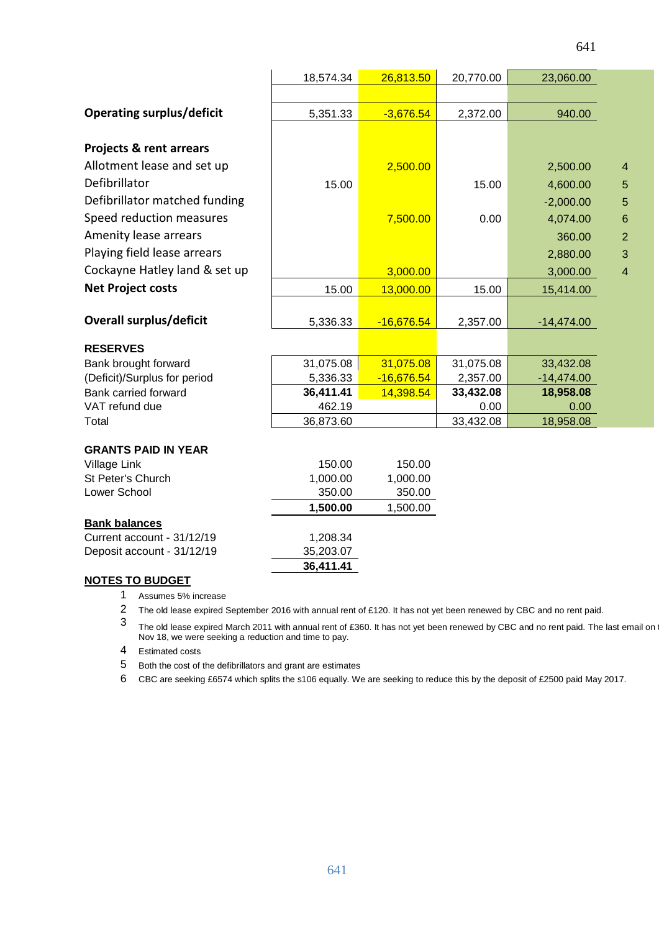|                                    | 18,574.34 | 26,813.50    | 20,770.00 | 23,060.00    |                |
|------------------------------------|-----------|--------------|-----------|--------------|----------------|
|                                    |           |              |           |              |                |
| <b>Operating surplus/deficit</b>   | 5,351.33  | $-3,676.54$  | 2,372.00  | 940.00       |                |
|                                    |           |              |           |              |                |
| <b>Projects &amp; rent arrears</b> |           |              |           |              |                |
| Allotment lease and set up         |           | 2,500.00     |           | 2,500.00     | $\overline{4}$ |
| Defibrillator                      | 15.00     |              | 15.00     | 4,600.00     | 5              |
| Defibrillator matched funding      |           |              |           | $-2,000.00$  | 5              |
| Speed reduction measures           |           | 7,500.00     | 0.00      | 4,074.00     | $6\phantom{1}$ |
| Amenity lease arrears              |           |              |           | 360.00       | $\overline{2}$ |
| Playing field lease arrears        |           |              |           | 2,880.00     | 3              |
| Cockayne Hatley land & set up      |           | 3,000.00     |           | 3,000.00     | $\overline{4}$ |
| <b>Net Project costs</b>           |           |              |           |              |                |
|                                    | 15.00     | 13,000.00    | 15.00     | 15,414.00    |                |
| <b>Overall surplus/deficit</b>     | 5,336.33  | $-16,676.54$ | 2,357.00  | $-14,474.00$ |                |
|                                    |           |              |           |              |                |
| <b>RESERVES</b>                    |           |              |           |              |                |
| Bank brought forward               | 31,075.08 | 31,075.08    | 31,075.08 | 33,432.08    |                |
| (Deficit)/Surplus for period       | 5,336.33  | $-16,676.54$ | 2,357.00  | $-14,474.00$ |                |
| Bank carried forward               | 36,411.41 | 14,398.54    | 33,432.08 | 18,958.08    |                |
| VAT refund due                     | 462.19    |              | 0.00      | 0.00         |                |
| Total                              | 36,873.60 |              | 33,432.08 | 18,958.08    |                |
| <b>GRANTS PAID IN YEAR</b>         |           |              |           |              |                |
| Village Link                       | 150.00    | 150.00       |           |              |                |
| St Peter's Church                  | 1,000.00  | 1,000.00     |           |              |                |
| Lower School                       | 350.00    | 350.00       |           |              |                |
|                                    | 1,500.00  | 1,500.00     |           |              |                |
| <b>Bank balances</b>               |           |              |           |              |                |
| Current account - 31/12/19         | 1,208.34  |              |           |              |                |
| Deposit account - 31/12/19         | 35,203.07 |              |           |              |                |
| <b>NOTES TO BUDGET</b>             | 36,411.41 |              |           |              |                |
|                                    |           |              |           |              |                |

1 Assumes 5% increase

2 The old lease expired September 2016 with annual rent of £120. It has not yet been renewed by CBC and no rent paid.

3 The old lease expired March 2011 with annual rent of £360. It has not yet been renewed by CBC and no rent paid. The last email on t Nov 18, we were seeking a reduction and time to pay.

4 Estimated costs

5 Both the cost of the defibrillators and grant are estimates

6 CBC are seeking £6574 which splits the s106 equally. We are seeking to reduce this by the deposit of £2500 paid May 2017.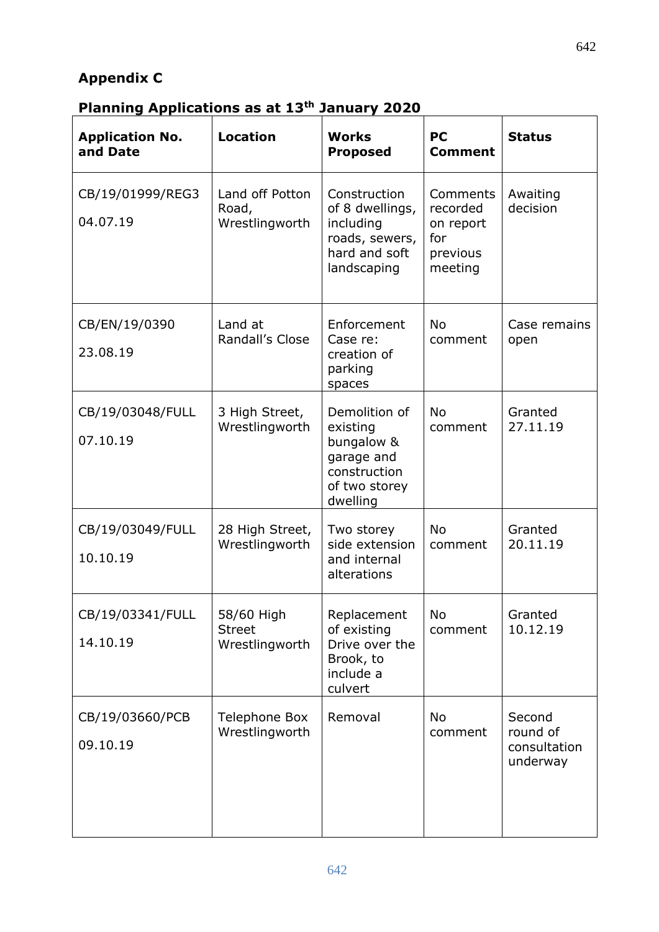## **Appendix C**

# **Planning Applications as at 13th January 2020**

| <b>Application No.</b><br>and Date | <b>Location</b>                               | <b>Works</b><br><b>Proposed</b>                                                                    | <b>PC</b><br><b>Comment</b>                                     | <b>Status</b>                                  |
|------------------------------------|-----------------------------------------------|----------------------------------------------------------------------------------------------------|-----------------------------------------------------------------|------------------------------------------------|
| CB/19/01999/REG3<br>04.07.19       | Land off Potton<br>Road,<br>Wrestlingworth    | Construction<br>of 8 dwellings,<br>including<br>roads, sewers,<br>hard and soft<br>landscaping     | Comments<br>recorded<br>on report<br>for<br>previous<br>meeting | Awaiting<br>decision                           |
| CB/EN/19/0390<br>23.08.19          | Land at<br>Randall's Close                    | Enforcement<br>Case re:<br>creation of<br>parking<br>spaces                                        | <b>No</b><br>comment                                            | Case remains<br>open                           |
| CB/19/03048/FULL<br>07.10.19       | 3 High Street,<br>Wrestlingworth              | Demolition of<br>existing<br>bungalow &<br>garage and<br>construction<br>of two storey<br>dwelling | <b>No</b><br>comment                                            | Granted<br>27.11.19                            |
| CB/19/03049/FULL<br>10.10.19       | 28 High Street,<br>Wrestlingworth             | Two storey<br>side extension<br>and internal<br>alterations                                        | <b>No</b><br>comment                                            | Granted<br>20.11.19                            |
| CB/19/03341/FULL<br>14.10.19       | 58/60 High<br><b>Street</b><br>Wrestlingworth | Replacement<br>of existing<br>Drive over the<br>Brook, to<br>include a<br>culvert                  | <b>No</b><br>comment                                            | Granted<br>10.12.19                            |
| CB/19/03660/PCB<br>09.10.19        | <b>Telephone Box</b><br>Wrestlingworth        | Removal                                                                                            | <b>No</b><br>comment                                            | Second<br>round of<br>consultation<br>underway |